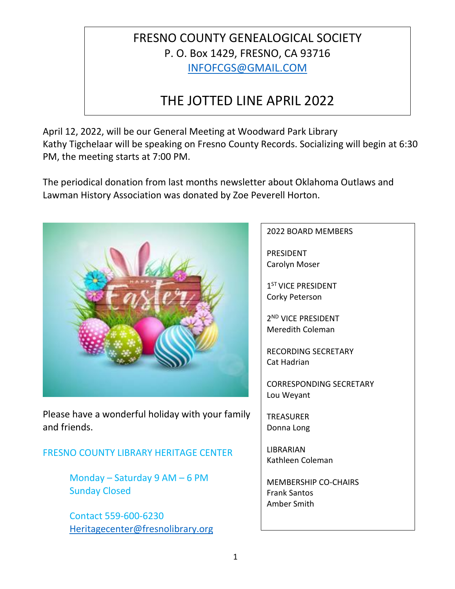## FRESNO COUNTY GENEALOGICAL SOCIETY P. O. Box 1429, FRESNO, CA 93716 [INFOFCGS@GMAIL.COM](mailto:INFOFCGS@GMAIL.COM)

# THE JOTTED LINE APRIL 2022

April 12, 2022, will be our General Meeting at Woodward Park Library Kathy Tigchelaar will be speaking on Fresno County Records. Socializing will begin at 6:30 PM, the meeting starts at 7:00 PM.

The periodical donation from last months newsletter about Oklahoma Outlaws and Lawman History Association was donated by Zoe Peverell Horton.



Please have a wonderful holiday with your family and friends.

FRESNO COUNTY LIBRARY HERITAGE CENTER

Monday – Saturday 9 AM – 6 PM Sunday Closed

Contact 559-600-6230 [Heritagecenter@fresnolibrary.org](mailto:Heritagecenter@fresnolibrary.org)

#### 2022 BOARD MEMBERS

PRESIDENT Carolyn Moser

1<sup>ST</sup> VICE PRESIDENT Corky Peterson

2 ND VICE PRESIDENT Meredith Coleman

RECORDING SECRETARY Cat Hadrian

CORRESPONDING SECRETARY Lou Weyant

**TREASURER** Donna Long

LIBRARIAN Kathleen Coleman

MEMBERSHIP CO-CHAIRS Frank Santos Amber Smith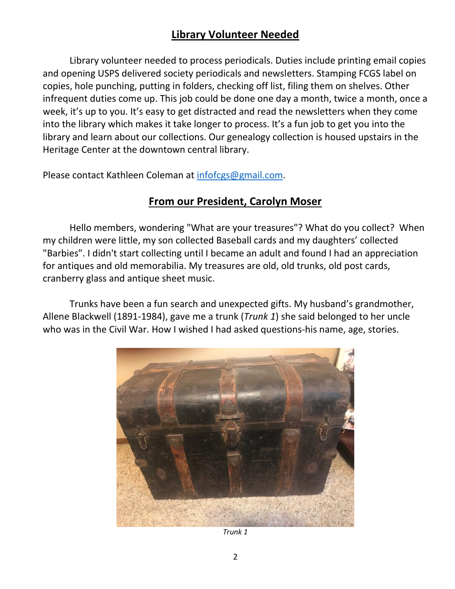#### **Library Volunteer Needed**

Library volunteer needed to process periodicals. Duties include printing email copies and opening USPS delivered society periodicals and newsletters. Stamping FCGS label on copies, hole punching, putting in folders, checking off list, filing them on shelves. Other infrequent duties come up. This job could be done one day a month, twice a month, once a week, it's up to you. It's easy to get distracted and read the newsletters when they come into the library which makes it take longer to process. It's a fun job to get you into the library and learn about our collections. Our genealogy collection is housed upstairs in the Heritage Center at the downtown central library.

Please contact Kathleen Coleman at [infofcgs@gmail.com.](mailto:infofcgs@gmail.com)

#### **From our President, Carolyn Moser**

Hello members, wondering "What are your treasures"? What do you collect? When my children were little, my son collected Baseball cards and my daughters' collected "Barbies". I didn't start collecting until I became an adult and found I had an appreciation for antiques and old memorabilia. My treasures are old, old trunks, old post cards, cranberry glass and antique sheet music.

 Trunks have been a fun search and unexpected gifts. My husband's grandmother, Allene Blackwell (1891-1984), gave me a trunk (*Trunk 1*) she said belonged to her uncle who was in the Civil War. How I wished I had asked questions-his name, age, stories.



*Trunk 1*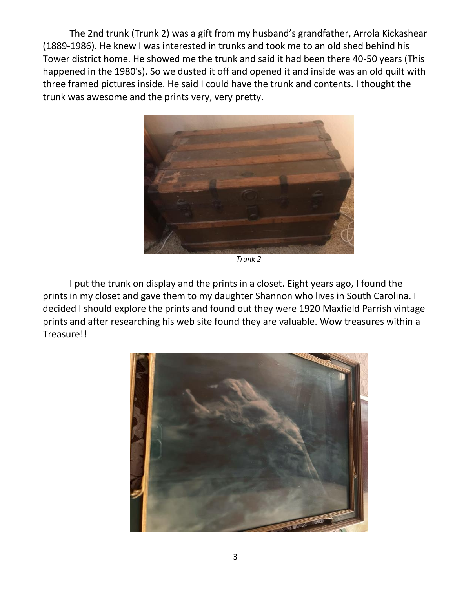The 2nd trunk (Trunk 2) was a gift from my husband's grandfather, Arrola Kickashear (1889-1986). He knew I was interested in trunks and took me to an old shed behind his Tower district home. He showed me the trunk and said it had been there 40-50 years (This happened in the 1980's). So we dusted it off and opened it and inside was an old quilt with three framed pictures inside. He said I could have the trunk and contents. I thought the trunk was awesome and the prints very, very pretty.



*Trunk 2*

I put the trunk on display and the prints in a closet. Eight years ago, I found the prints in my closet and gave them to my daughter Shannon who lives in South Carolina. I decided I should explore the prints and found out they were 1920 Maxfield Parrish vintage prints and after researching his web site found they are valuable. Wow treasures within a Treasure!!

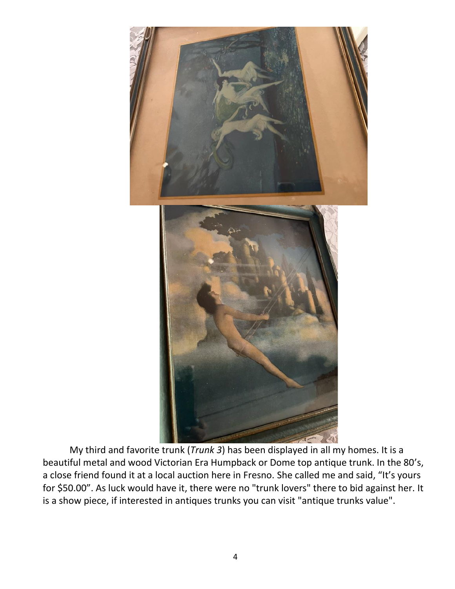

My third and favorite trunk (*Trunk 3*) has been displayed in all my homes. It is a beautiful metal and wood Victorian Era Humpback or Dome top antique trunk. In the 80's, a close friend found it at a local auction here in Fresno. She called me and said, "It's yours for \$50.00". As luck would have it, there were no "trunk lovers" there to bid against her. It is a show piece, if interested in antiques trunks you can visit "antique trunks value".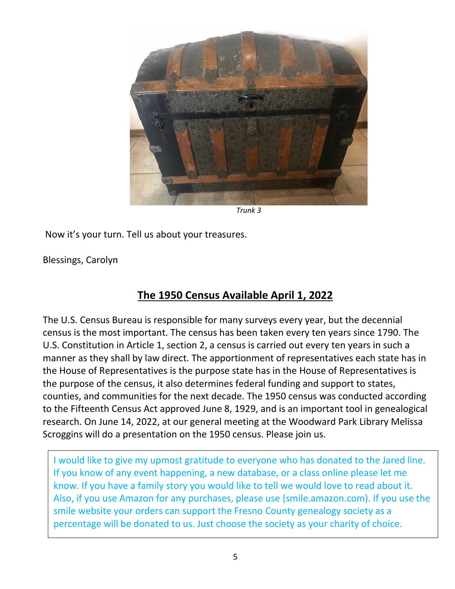

*Trunk 3*

Now it's your turn. Tell us about your treasures.

Blessings, Carolyn

#### **The 1950 Census Available April 1, 2022**

The U.S. Census Bureau is responsible for many surveys every year, but the decennial census is the most important. The census has been taken every ten years since 1790. The U.S. Constitution in Article 1, section 2, a census is carried out every ten years in such a manner as they shall by law direct. The apportionment of representatives each state has in the House of Representatives is the purpose state has in the House of Representatives is the purpose of the census, it also determines federal funding and support to states, counties, and communities for the next decade. The 1950 census was conducted according to the Fifteenth Census Act approved June 8, 1929, and is an important tool in genealogical research. On June 14, 2022, at our general meeting at the Woodward Park Library Melissa Scroggins will do a presentation on the 1950 census. Please join us.

I would like to give my upmost gratitude to everyone who has donated to the Jared line. If you know of any event happening, a new database, or a class online please let me know. If you have a family story you would like to tell we would love to read about it. Also, if you use Amazon for any purchases, please use (smile.amazon.com). If you use the smile website your orders can support the Fresno County genealogy society as a percentage will be donated to us. Just choose the society as your charity of choice.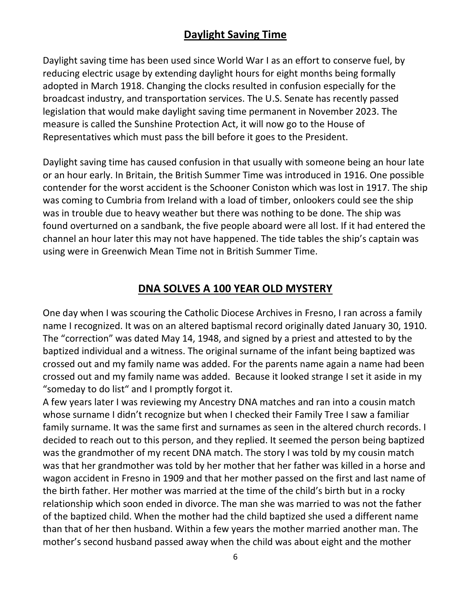### **Daylight Saving Time**

Daylight saving time has been used since World War I as an effort to conserve fuel, by reducing electric usage by extending daylight hours for eight months being formally adopted in March 1918. Changing the clocks resulted in confusion especially for the broadcast industry, and transportation services. The U.S. Senate has recently passed legislation that would make daylight saving time permanent in November 2023. The measure is called the Sunshine Protection Act, it will now go to the House of Representatives which must pass the bill before it goes to the President.

Daylight saving time has caused confusion in that usually with someone being an hour late or an hour early. In Britain, the British Summer Time was introduced in 1916. One possible contender for the worst accident is the Schooner Coniston which was lost in 1917. The ship was coming to Cumbria from Ireland with a load of timber, onlookers could see the ship was in trouble due to heavy weather but there was nothing to be done. The ship was found overturned on a sandbank, the five people aboard were all lost. If it had entered the channel an hour later this may not have happened. The tide tables the ship's captain was using were in Greenwich Mean Time not in British Summer Time.

#### **DNA SOLVES A 100 YEAR OLD MYSTERY**

One day when I was scouring the Catholic Diocese Archives in Fresno, I ran across a family name I recognized. It was on an altered baptismal record originally dated January 30, 1910. The "correction" was dated May 14, 1948, and signed by a priest and attested to by the baptized individual and a witness. The original surname of the infant being baptized was crossed out and my family name was added. For the parents name again a name had been crossed out and my family name was added. Because it looked strange I set it aside in my "someday to do list" and I promptly forgot it.

A few years later I was reviewing my Ancestry DNA matches and ran into a cousin match whose surname I didn't recognize but when I checked their Family Tree I saw a familiar family surname. It was the same first and surnames as seen in the altered church records. I decided to reach out to this person, and they replied. It seemed the person being baptized was the grandmother of my recent DNA match. The story I was told by my cousin match was that her grandmother was told by her mother that her father was killed in a horse and wagon accident in Fresno in 1909 and that her mother passed on the first and last name of the birth father. Her mother was married at the time of the child's birth but in a rocky relationship which soon ended in divorce. The man she was married to was not the father of the baptized child. When the mother had the child baptized she used a different name than that of her then husband. Within a few years the mother married another man. The mother's second husband passed away when the child was about eight and the mother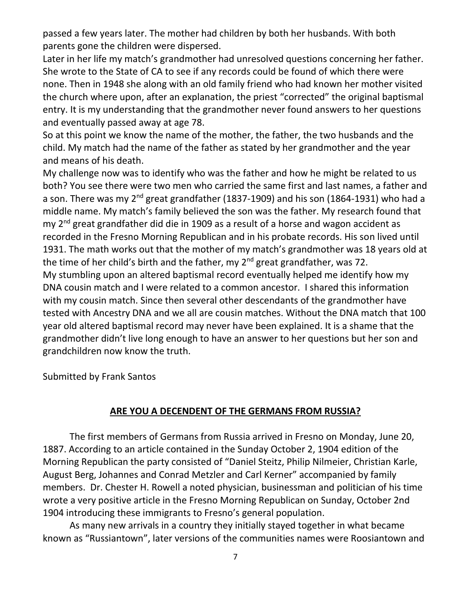passed a few years later. The mother had children by both her husbands. With both parents gone the children were dispersed.

Later in her life my match's grandmother had unresolved questions concerning her father. She wrote to the State of CA to see if any records could be found of which there were none. Then in 1948 she along with an old family friend who had known her mother visited the church where upon, after an explanation, the priest "corrected" the original baptismal entry. It is my understanding that the grandmother never found answers to her questions and eventually passed away at age 78.

So at this point we know the name of the mother, the father, the two husbands and the child. My match had the name of the father as stated by her grandmother and the year and means of his death.

My challenge now was to identify who was the father and how he might be related to us both? You see there were two men who carried the same first and last names, a father and a son. There was my 2<sup>nd</sup> great grandfather (1837-1909) and his son (1864-1931) who had a middle name. My match's family believed the son was the father. My research found that my 2<sup>nd</sup> great grandfather did die in 1909 as a result of a horse and wagon accident as recorded in the Fresno Morning Republican and in his probate records. His son lived until 1931. The math works out that the mother of my match's grandmother was 18 years old at the time of her child's birth and the father, my  $2^{nd}$  great grandfather, was 72. My stumbling upon an altered baptismal record eventually helped me identify how my DNA cousin match and I were related to a common ancestor. I shared this information with my cousin match. Since then several other descendants of the grandmother have tested with Ancestry DNA and we all are cousin matches. Without the DNA match that 100 year old altered baptismal record may never have been explained. It is a shame that the grandmother didn't live long enough to have an answer to her questions but her son and grandchildren now know the truth.

Submitted by Frank Santos

#### **ARE YOU A DECENDENT OF THE GERMANS FROM RUSSIA?**

The first members of Germans from Russia arrived in Fresno on Monday, June 20, 1887. According to an article contained in the Sunday October 2, 1904 edition of the Morning Republican the party consisted of "Daniel Steitz, Philip Nilmeier, Christian Karle, August Berg, Johannes and Conrad Metzler and Carl Kerner" accompanied by family members. Dr. Chester H. Rowell a noted physician, businessman and politician of his time wrote a very positive article in the Fresno Morning Republican on Sunday, October 2nd 1904 introducing these immigrants to Fresno's general population.

As many new arrivals in a country they initially stayed together in what became known as "Russiantown", later versions of the communities names were Roosiantown and